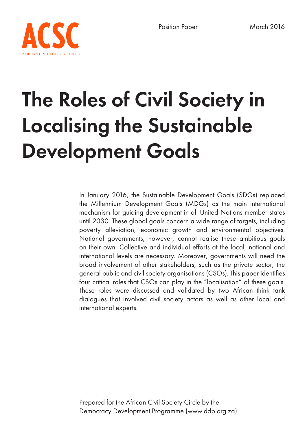

# The Roles of Civil Society in Localising the Sustainable Development Goals

In January 2016, the Sustainable Development Goals (SDGs) replaced the Millennium Development Goals (MDGs) as the main international mechanism for guiding development in all United Nations member states until 2030. These global goals concern a wide range of targets, including poverty alleviation, economic growth and environmental objectives. National governments, however, cannot realise these ambitious goals on their own. Collective and individual efforts at the local, national and international levels are necessary. Moreover, governments will need the broad involvement of other stakeholders, such as the private sector, the general public and civil society organisations (CSOs). This paper identifies four critical roles that CSOs can play in the "localisation" of these goals. These roles were discussed and validated by two African think tank dialogues that involved civil society actors as well as other local and international experts.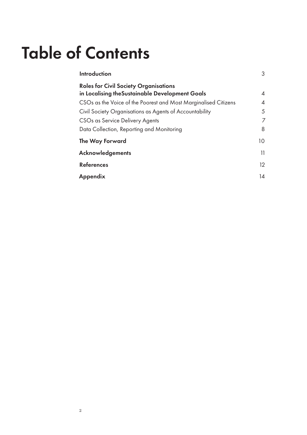### Table of Contents

| Introduction                                                    | 3                         |
|-----------------------------------------------------------------|---------------------------|
| <b>Roles for Civil Society Organisations</b>                    |                           |
| in Localising the Sustainable Development Goals                 | $\boldsymbol{\varLambda}$ |
| CSOs as the Voice of the Poorest and Most Marginalised Citizens | $\overline{A}$            |
| Civil Society Organisations as Agents of Accountability         | 5                         |
| CSOs as Service Delivery Agents                                 | $\overline{7}$            |
| Data Collection, Reporting and Monitoring                       | 8                         |
| The Way Forward                                                 | 10                        |
| <b>Acknowledgements</b>                                         | 11                        |
| <b>References</b>                                               | 12                        |
| Appendix                                                        | 14                        |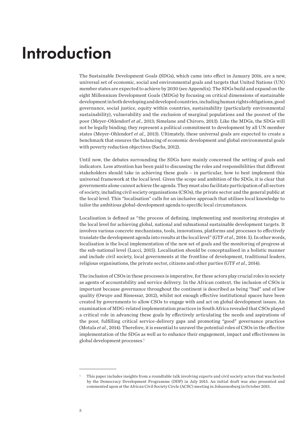### Introduction

The Sustainable Development Goals (SDGs), which came into effect in January 2016, are a new, universal set of economic, social and environmental goals and targets that United Nations (UN) member states are expected to achieve by 2030 (see Appendix). The SDGs build and expand on the eight Millennium Development Goals (MDGs) by focusing on critical dimensions of sustainable development in both developing and developed countries, including human rights obligations, good governance, social justice, equity within countries, sustainability (particularly environmental sustainability), vulnerability and the exclusion of marginal populations and the poorest of the poor (Meyer-Ohlendorf *et al.*, 2013; Simelane and Chiroro, 2013). Like the MDGs, the SDGs will not be legally binding; they represent a political commitment to development by all UN member states (Meyer-Ohlendorf *et al.*, 2013). Ultimately, these universal goals are expected to create a benchmark that ensures the balancing of economic development and global environmental goals with poverty reduction objectives (Sachs, 2012).

Until now, the debates surrounding the SDGs have mainly concerned the setting of goals and indicators. Less attention has been paid to discussing the roles and responsibilities that different stakeholders should take in achieving these goals – in particular, how to best implement this universal framework at the local level. Given the scope and ambition of the SDGs, it is clear that governments alone cannot achieve the agenda. They must also facilitate participation of all sectors of society, including civil society organisations (CSOs), the private sector and the general public at the local level. This "localisation" calls for an inclusive approach that utilises local knowledge to tailor the ambitious global-development agenda to specific local circumstances.

Localisation is defined as "the process of defining, implementing and monitoring strategies at the local level for achieving global, national and subnational sustainable development targets. It involves various concrete mechanisms, tools, innovations, platforms and processes to effectively translate the development agenda into results at the local level" (GTF *et al.*, 2014: 5). In other words, localisation is the local implementation of the new set of goals and the monitoring of progress at the sub-national level (Lucci, 2015). Localisation should be conceptualised in a holistic manner and include civil society, local governments at the frontline of development, traditional leaders, religious organisations, the private sector, citizens and other parties (GTF *et al.*, 2014).

The inclusion of CSOs in these processes is imperative, for these actors play crucial roles in society as agents of accountability and service delivery. In the African context, the inclusion of CSOs is important because governance throughout the continent is described as being "bad" and of low quality (Owuye and Bissessar, 2012), whilst not enough effective institutional spaces have been created by governments to allow CSOs to engage with and act on global development issues. An examination of MDG-related implementation practices in South Africa revealed that CSOs played a critical role in advancing these goals by effectively articulating the needs and aspirations of the poor, fulfilling critical service-delivery gaps and promoting "good" governance practices (Motala *et al.*, 2014). Therefore, it is essential to unravel the potential roles of CSOs in the effective implementation of the SDGs as well as to enhance their engagement, impact and effectiveness in global development processes.<sup>1</sup>

<sup>1</sup> This paper includes insights from a roundtable talk involving experts and civil society actors that was hosted by the Democracy Development Programme (DDP) in July 2015. An initial draft was also presented and commented upon at the African Civil Society Circle (ACSC) meeting in Johannesburg in October 2015.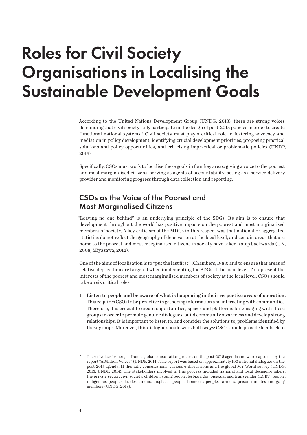### Roles for Civil Society Organisations in Localising the Sustainable Development Goals

According to the United Nations Development Group (UNDG, 2013), there are strong voices demanding that civil society fully participate in the design of post-2015 policies in order to create functional national systems.2 Civil society must play a critical role in fostering advocacy and mediation in policy development, identifying crucial development priorities, proposing practical solutions and policy opportunities, and criticising impractical or problematic policies (UNDP, 2014).

Specifically, CSOs must work to localise these goals in four key areas: giving a voice to the poorest and most marginalised citizens, serving as agents of accountability, acting as a service delivery provider and monitoring progress through data collection and reporting.

#### CSOs as the Voice of the Poorest and Most Marginalised Citizens

"Leaving no one behind" is an underlying principle of the SDGs. Its aim is to ensure that development throughout the world has positive impacts on the poorest and most marginalised members of society. A key criticism of the MDGs in this respect was that national or aggregated statistics do not reflect the geography of deprivation at the local level, and certain areas that are home to the poorest and most marginalised citizens in society have taken a step backwards (UN, 2008; Miyazawa, 2012).

One of the aims of localisation is to "put the last first" (Chambers, 1983) and to ensure that areas of relative deprivation are targeted when implementing the SDGs at the local level. To represent the interests of the poorest and most marginalised members of society at the local level, CSOs should take on six critical roles:

1. Listen to people and be aware of what is happening in their respective areas of operation. This requires CSOs to be proactive in gathering information and interacting with communities. Therefore, it is crucial to create opportunities, spaces and platforms for engaging with these groups in order to promote genuine dialogues, build community awareness and develop strong relationships. It is important to listen to, and consider the solutions to, problems identified by these groups. Moreover, this dialogue should work both ways: CSOs should provide feedback to

<sup>2</sup> These "voices" emerged from a global consultation process on the post-2015 agenda and were captured by the report "A Million Voices" (UNDP, 2014). The report was based on approximately 100 national dialogues on the post-2015 agenda, 11 thematic consultations, various e-discussions and the global MY World survey (UNDG, 2013; UNDP, 2014). The stakeholders involved in this process included national and local decision-makers, the private sector, civil society, children, young people, lesbian, gay, bisexual and transgender (LGBT) people, indigenous peoples, trades unions, displaced people, homeless people, farmers, prison inmates and gang members (UNDG, 2013).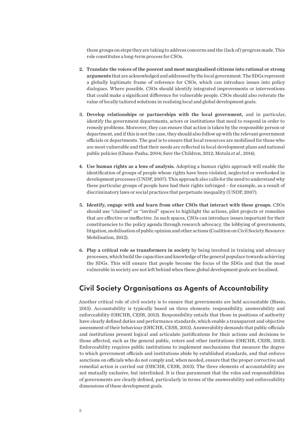these groups on steps they are taking to address concerns and the (lack of) progress made. This role constitutes a long-term process for CSOs.

- 2. Translate the voices of the poorest and most marginalised citizens into rational or strong arguments that are acknowledged and addressed by the local government. The SDGs represent a globally legitimate frame of reference for CSOs, which can introduce issues into policy dialogues. Where possible, CSOs should identify integrated improvements or interventions that could make a significant difference for vulnerable people. CSOs should also reiterate the value of locally tailored solutions in realising local and global development goals.
- 3. Develop relationships or partnerships with the local government, and in particular, identify the government departments, actors or institutions that need to respond in order to remedy problems. Moreover, they can ensure that action is taken by the responsible person or department, and if this is not the case, they should also follow up with the relevant government officials or departments. The goal is to ensure that local resources are mobilised for those who are most vulnerable and that their needs are reflected in local development plans and national public policies (Ghaus-Pasha, 2004; Save the Children, 2012; Motala *et al.*, 2014).
- 4. Use human rights as a lens of analysis. Adopting a human rights approach will enable the identification of groups of people whose rights have been violated, neglected or overlooked in development processes (UNDP, 2007). This approach also calls for the need to understand why these particular groups of people have had their rights infringed – for example, as a result of discriminatory laws or social practices that perpetuate inequality (UNDP, 2007).
- 5. Identify, engage with and learn from other CSOs that interact with these groups. CSOs should use "claimed" or "invited" spaces to highlight the actions, pilot projects or remedies that are effective or ineffective. In such spaces, CSOs can introduce issues important for their constituencies to the policy agenda through research advocacy, the lobbying of governments, litigation, mobilisation of public opinion and other actions (Coalition on Civil Society Resource Mobilisation, 2012).
- 6. Play a critical role as transformers in society by being involved in training and advocacy processes, which build the capacities and knowledge of the general populace towards achieving the SDGs. This will ensure that people become the focus of the SDGs and that the most vulnerable in society are not left behind when these global development goals are localised.

#### Civil Society Organisations as Agents of Accountability

Another critical role of civil society is to ensure that governments are held accountable (Bissio, 2015). Accountability is typically based on three elements: responsibility, answerability and enforceability (OHCHR, CESR, 2013). Responsibility entails that those in positions of authority have clearly defined duties and performance standards, which enable a transparent and objective assessment of their behaviour (OHCHR, CESR, 2013). Answerability demands that public officials and institutions present logical and articulate justifications for their actions and decisions to those affected, such as the general public, voters and other institutions (OHCHR, CESR, 2013). Enforceability requires public institutions to implement mechanisms that measure the degree to which government officials and institutions abide by established standards, and that enforce sanctions on officials who do not comply and, when needed, ensure that the proper corrective and remedial action is carried out (OHCHR, CESR, 2013). The three elements of accountability are not mutually exclusive, but interlinked. It is thus paramount that the roles and responsibilities of governments are clearly defined, particularly in terms of the answerability and enforceability dimensions of these development goals.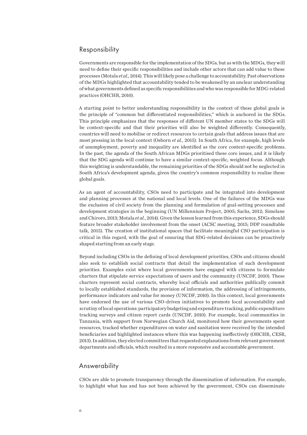#### Responsibility

Governments are responsible for the implementation of the SDGs, but as with the MDGs, they will need to define their specific responsibilities and include other actors that can add value to these processes (Motala *et al.*, 2014). This will likely pose a challenge to accountability. Past observations of the MDGs highlighted that accountability tended to be weakened by an unclear understanding of what governments defined as specific responsibilities and who was responsible for MDG-related practices (OHCHR, 2010).

A starting point to better understanding responsibility in the context of these global goals is the principle of "common but differentiated responsibilities," which is anchored in the SDGs. This principle emphasizes that the responses of different UN member states to the SDGs will be context-specific and that their priorities will also be weighted differently. Consequently, countries will need to mobilise or redirect resources to certain goals that address issues that are most pressing in the local context (Osborn *et al.*, 2015). In South Africa, for example, high levels of unemployment, poverty and inequality are identified as the core context-specific problems. In the past, the agenda of the South African MDGs prioritised these core issues, and it is likely that the SDG agenda will continue to have a similar context-specific, weighted focus. Although this weighting is understandable, the remaining priorities of the SDGs should not be neglected in South Africa's development agenda, given the country's common responsibility to realise these global goals.

As an agent of accountability, CSOs need to participate and be integrated into development and planning processes at the national and local levels. One of the failures of the MDGs was the exclusion of civil society from the planning and formulation of goal-setting processes and development strategies in the beginning (UN Millennium Project, 2005; Sachs, 2012; Simelane and Chiroro, 2013; Motala *et al.*, 2014). Given the lesson learned from this experience, SDGs should feature broader stakeholder involvement from the onset (ACSC meeting, 2015; DDP roundtable talk, 2015). The creation of institutional spaces that facilitate meaningful CSO participation is critical in this regard, with the goal of ensuring that SDG-related decisions can be proactively shaped starting from an early stage.

Beyond including CSOs in the defining of local development priorities, CSOs and citizens should also seek to establish social contracts that detail the implementation of such development priorities. Examples exist where local governments have engaged with citizens to formulate charters that stipulate service expectations of users and the community (UNCDF, 2010). These charters represent social contracts, whereby local officials and authorities publically commit to locally established standards, the provision of information, the addressing of infringements, performance indicators and value for money (UNCDF, 2010). In this context, local governments have endorsed the use of various CSO-driven initiatives to promote local accountability and scrutiny of local operations: participatory budgeting and expenditure tracking, public expenditure tracking surveys and citizen report cards (UNCDF, 2010). For example, local communities in Tanzania, with support from Norwegian Church Aid, monitored how their governments spent resources, tracked whether expenditures on water and sanitation were received by the intended beneficiaries and highlighted instances where this was happening ineffectively (OHCHR, CESR, 2013). In addition, they elected committees that requested explanations from relevant government departments and officials, which resulted in a more responsive and accountable government.

#### Answerability

CSOs are able to promote transparency through the dissemination of information. For example, to highlight what has and has not been achieved by the government, CSOs can disseminate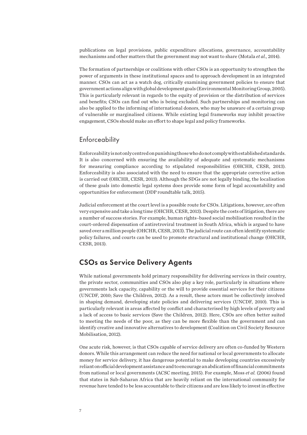publications on legal provisions, public expenditure allocations, governance, accountability mechanisms and other matters that the government may not want to share (Motala *et al.*, 2014).

The formation of partnerships or coalitions with other CSOs is an opportunity to strengthen the power of arguments in these institutional spaces and to approach development in an integrated manner. CSOs can act as a watch dog, critically examining government policies to ensure that government actions align with global development goals (Environmental Monitoring Group, 2005). This is particularly relevant in regards to the equity of provision or the distribution of services and benefits; CSOs can find out who is being excluded. Such partnerships and monitoring can also be applied to the informing of international donors, who may be unaware of a certain group of vulnerable or marginalised citizens. While existing legal frameworks may inhibit proactive engagement, CSOs should make an effort to shape legal and policy frameworks.

#### **Enforceability**

Enforceability is not only centred on punishing those who do not comply with established standards. It is also concerned with ensuring the availability of adequate and systematic mechanisms for measuring compliance according to stipulated responsibilities (OHCHR, CESR, 2013). Enforceability is also associated with the need to ensure that the appropriate corrective action is carried out (OHCHR, CESR, 2013). Although the SDGs are not legally binding, the localisation of these goals into domestic legal systems does provide some form of legal accountability and opportunities for enforcement (DDP roundtable talk, 2015).

Judicial enforcement at the court level is a possible route for CSOs. Litigations, however, are often very expensive and take a long time (OHCHR, CESR, 2013). Despite the costs of litigation, there are a number of success stories. For example, human rights–based social mobilisation resulted in the court-ordered dispensation of antiretroviral treatment in South Africa, which is argued to have saved over a million people (OHCHR, CESR, 2013). The judicial route can often identify systematic policy failures, and courts can be used to promote structural and institutional change (OHCHR, CESR, 2013).

#### CSOs as Service Delivery Agents

While national governments hold primary responsibility for delivering services in their country, the private sector, communities and CSOs also play a key role, particularly in situations where governments lack capacity, capability or the will to provide essential services for their citizens (UNCDF, 2010; Save the Children, 2012). As a result, these actors must be collectively involved in shaping demand, developing state policies and delivering services (UNCDF, 2010). This is particularly relevant in areas affected by conflict and characterised by high levels of poverty and a lack of access to basic services (Save the Children, 2012). Here, CSOs are often better suited to meeting the needs of the poor, as they can be more flexible than the government and can identify creative and innovative alternatives to development (Coalition on Civil Society Resource Mobilisation, 2012).

One acute risk, however, is that CSOs capable of service delivery are often co-funded by Western donors. While this arrangement can reduce the need for national or local governments to allocate money for service delivery, it has dangerous potential to make developing countries excessively reliant on official development assistance and to encourage an abdication of financial commitments from national or local governments (ACSC meeting, 2015). For example, Moss *et al.* (2006) found that states in Sub-Saharan Africa that are heavily reliant on the international community for revenue have tended to be less accountable to their citizens and are less likely to invest in effective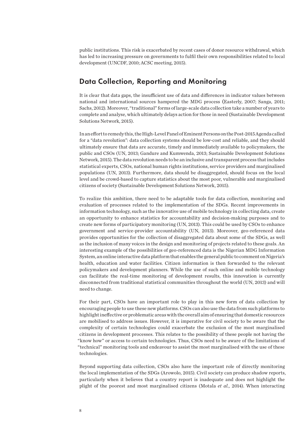public institutions. This risk is exacerbated by recent cases of donor resource withdrawal, which has led to increasing pressure on governments to fulfil their own responsibilities related to local development (UNCDF, 2010; ACSC meeting, 2015).

#### Data Collection, Reporting and Monitoring

It is clear that data gaps, the insufficient use of data and differences in indicator values between national and international sources hampered the MDG process (Easterly, 2007; Sanga, 2011; Sachs, 2012). Moreover, "traditional" forms of large-scale data collection take a number of years to complete and analyse, which ultimately delays action for those in need (Sustainable Development Solutions Network, 2015).

In an effort to remedy this, the High-Level Panel of Eminent Persons on the Post-2015 Agenda called for a "data revolution": data collection systems should be low-cost and reliable, and they should ultimately ensure that data are accurate, timely and immediately available to policymakers, the public and CSOs (UN, 2013; Gandure and Kumwenda, 2013; Sustainable Development Solutions Network, 2015). The data revolution needs to be an inclusive and transparent process that includes statistical experts, CSOs, national human rights institutions, service providers and marginalised populations (UN, 2013). Furthermore, data should be disaggregated, should focus on the local level and be crowd-based to capture statistics about the most poor, vulnerable and marginalised citizens of society (Sustainable Development Solutions Network, 2015).

To realize this ambition, there need to be adaptable tools for data collection, monitoring and evaluation of processes related to the implementation of the SDGs. Recent improvements in information technology, such as the innovative use of mobile technology in collecting data, create an opportunity to enhance statistics for accountability and decision-making purposes and to create new forms of participatory monitoring (UN, 2013). This could be used by CSOs to enhance government and service-provider accountability (UN, 2013). Moreover, geo-referenced data provides opportunities for the collection of disaggregated data about some of the SDGs, as well as the inclusion of many voices in the design and monitoring of projects related to these goals. An interesting example of the possibilities of geo-referenced data is the Nigerian MDG Information System, an online interactive data platform that enables the general public to comment on Nigeria's health, education and water facilities. Citizen information is then forwarded to the relevant policymakers and development planners. While the use of such online and mobile technology can facilitate the real-time monitoring of development results, this innovation is currently disconnected from traditional statistical communities throughout the world (UN, 2013) and will need to change.

For their part, CSOs have an important role to play in this new form of data collection by encouraging people to use these new platforms. CSOs can also use the data from such platforms to highlight ineffective or problematic areas with the overall aim of ensuring that domestic resources are mobilised to address issues. However, it is imperative for civil society to be aware that the complexity of certain technologies could exacerbate the exclusion of the most marginalised citizens in development processes. This relates to the possibility of these people not having the "know how" or access to certain technologies. Thus, CSOs need to be aware of the limitations of "technical" monitoring tools and endeavour to assist the most marginalised with the use of these technologies.

Beyond supporting data collection, CSOs also have the important role of directly monitoring the local implementation of the SDGs (Arowolo, 2015). Civil society can produce shadow reports, particularly when it believes that a country report is inadequate and does not highlight the plight of the poorest and most marginalised citizens (Motala *et al.*, 2014). When interacting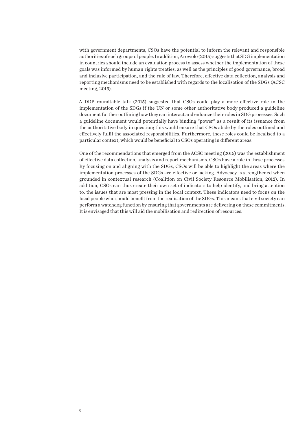with government departments, CSOs have the potential to inform the relevant and responsible authorities of such groups of people. In addition, Arowolo (2015) suggests that SDG implementation in countries should include an evaluation process to assess whether the implementation of these goals was informed by human rights treaties, as well as the principles of good governance, broad and inclusive participation, and the rule of law. Therefore, effective data collection, analysis and reporting mechanisms need to be established with regards to the localisation of the SDGs (ACSC meeting, 2015).

A DDP roundtable talk (2015) suggested that CSOs could play a more effective role in the implementation of the SDGs if the UN or some other authoritative body produced a guideline document further outlining how they can interact and enhance their roles in SDG processes. Such a guideline document would potentially have binding "power" as a result of its issuance from the authoritative body in question; this would ensure that CSOs abide by the roles outlined and effectively fulfil the associated responsibilities. Furthermore, these roles could be localised to a particular context, which would be beneficial to CSOs operating in different areas.

One of the recommendations that emerged from the ACSC meeting (2015) was the establishment of effective data collection, analysis and report mechanisms. CSOs have a role in these processes. By focusing on and aligning with the SDGs, CSOs will be able to highlight the areas where the implementation processes of the SDGs are effective or lacking. Advocacy is strengthened when grounded in contextual research (Coalition on Civil Society Resource Mobilisation, 2012). In addition, CSOs can thus create their own set of indicators to help identify, and bring attention to, the issues that are most pressing in the local context. These indicators need to focus on the local people who should benefit from the realisation of the SDGs. This means that civil society can perform a watchdog function by ensuring that governments are delivering on these commitments. It is envisaged that this will aid the mobilisation and redirection of resources.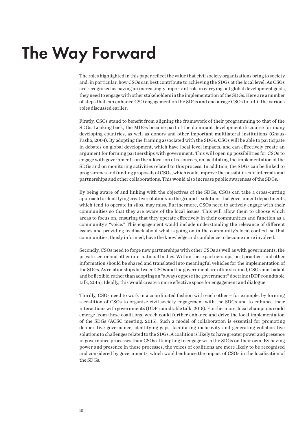### The Way Forward

The roles highlighted in this paper reflect the value that civil society organisations bring to society and, in particular, how CSOs can best contribute to achieving the SDGs at the local level. As CSOs are recognised as having an increasingly important role in carrying out global development goals, they need to engage with other stakeholders in the implementation of the SDGs. Here are a number of steps that can enhance CSO engagement on the SDGs and encourage CSOs to fulfil the various roles discussed earlier:

Firstly, CSOs stand to benefit from aligning the framework of their programming to that of the SDGs. Looking back, the MDGs became part of the dominant development discourse for many developing countries, as well as donors and other important multilateral institutions (Ghaus-Pasha, 2004). By adopting the framing associated with the SDGs, CSOs will be able to participate in debates on global development, which have local level impacts, and can effectively create an argument for forming partnerships with government. This will open up possibilities for CSOs to engage with governments on the allocation of resources, on facilitating the implementation of the SDGs and on monitoring activities related to this process. In addition, the SDGs can be linked to programmes and funding proposals of CSOs, which could improve the possibilities of international partnerships and other collaborations. This would also increase public awareness of the SDGs.

By being aware of and linking with the objectives of the SDGs, CSOs can take a cross-cutting approach to identifying creative solutions on the ground – solutions that government departments, which tend to operate in silos, may miss. Furthermore, CSOs need to actively engage with their communities so that they are aware of the local issues. This will allow them to choose which areas to focus on, ensuring that they operate effectively in their communities and function as a community's "voice." This engagement would include understanding the relevance of different issues and providing feedback about what is going on in the community's local context, so that communities, thusly informed, have the knowledge and confidence to become more involved.

Secondly, CSOs need to forge new partnerships with other CSOs as well as with governments, the private sector and other international bodies. Within these partnerships, best practices and other information should be shared and translated into meaningful vehicles for the implementation of the SDGs. As relationships between CSOs and the government are often strained, CSOs must adapt and be flexible, rather than adopting an "always oppose the government" doctrine (DDP roundtable talk, 2015). Ideally, this would create a more effective space for engagement and dialogue.

Thirdly, CSOs need to work in a coordinated fashion with each other – for example, by forming a coalition of CSOs to organise civil society engagement with the SDGs and to enhance their interactions with governments (DDP roundtable talk, 2015). Furthermore, local champions could emerge from these coalitions, which could further enhance and drive the local implementation of the SDGs (ACSC meeting, 2015). Such a model of collaboration is essential for promoting deliberative governance, identifying gaps, facilitating inclusivity and generating collaborative solutions to challenges related to the SDGs. A coalition is likely to have greater power and presence in governance processes than CSOs attempting to engage with the SDGs on their own. By having power and presence in these processes, the voices of coalitions are more likely to be recognised and considered by governments, which would enhance the impact of CSOs in the localisation of the SDGs.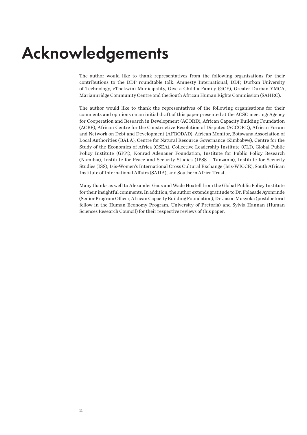### Acknowledgements

The author would like to thank representatives from the following organisations for their contributions to the DDP roundtable talk: Amnesty International, DDP, Durban University of Technology, eThekwini Municipality, Give a Child a Family (GCF), Greater Durban YMCA, Mariannridge Community Centre and the South African Human Rights Commission (SAHRC).

The author would like to thank the representatives of the following organisations for their comments and opinions on an initial draft of this paper presented at the ACSC meeting: Agency for Cooperation and Research in Development (ACORD), African Capacity Building Foundation (ACBF), African Centre for the Constructive Resolution of Disputes (ACCORD), African Forum and Network on Debt and Development (AFRODAD), African Monitor, Botswana Association of Local Authorities (BALA), Centre for Natural Resource Governance (Zimbabwe), Centre for the Study of the Economies of Africa (CSEA), Collective Leadership Institute (CLI), Global Public Policy Institute (GPPi), Konrad Adenauer Foundation, Institute for Public Policy Research (Namibia), Institute for Peace and Security Studies (IPSS – Tanzania), Institute for Security Studies (ISS), Isis-Women's International Cross Cultural Exchange (Isis-WICCE), South African Institute of International Affairs (SAIIA), and Southern Africa Trust.

Many thanks as well to Alexander Gaus and Wade Hoxtell from the Global Public Policy Institute for their insightful comments. In addition, the author extends gratitude to Dr. Folasade Ayonrinde (Senior Program Officer, African Capacity Building Foundation), Dr. Jason Musyoka (postdoctoral fellow in the Human Economy Program, University of Pretoria) and Sylvia Hannan (Human Sciences Research Council) for their respective reviews of this paper.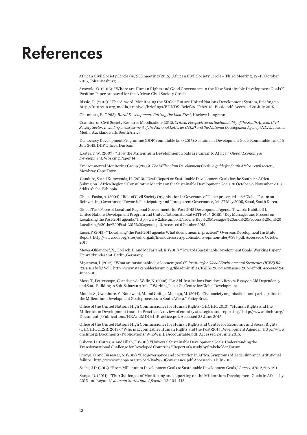### References

African Civil Society Circle (ACSC) meeting (2015). African Civil Society Circle – Third Meeting, 12–13 October 2015, Johannesburg.

Arowolo, O. (2015). "Where are Human Rights and Good Governance in the New Sustainable Development Goals?" Position Paper prepared for the African Civil Society Circle.

Bissio, R. (2015). "The 'A' word: Monitoring the SDGs." Future United Nations Development System, Briefing 26. http://futureun.org/media/archive1/briefings/FUNDS\_Brief26\_Feb2015\_Bissio.pdf. Accessed 20 July 2015.

Chambers, R. (1983). *Rural Development: Putting the Last First*, Harlow: Longman.

Coalition on Civil Society Resource Mobilisation (2012). *Critical Perspectives on Sustainability of the South African Civil Society Sector: Including an assessment of the National Lotteries (NLB) and the National Development Agency (NDA)*, Jacana Media, Auckland Park, South Africa.

Democracy Development Programme (DDP) roundtable talk (2015). Sustainable Development Goals Roundtable Talk, 16 July 2015. DDP Offices, Durban.

Easterly, W. (2007). "How the Millennium Development Goals are unfair to Africa," *Global Economy & Development*, Working Paper 14.

Environmental Monitoring Group (2005). *The Millennium Development Goals: A guide for South African civil society*, Mowbray, Cape Town.

 Gandure, S. and Kumwenda, H. (2013). "Draft Report on Sustainable Development Goals for the Southern Africa Subregion." Africa Regional Consultative Meeting on the Sustainable Development Goals, 31 October–2 November 2013, Addis Ababa, Ethiopia.

Ghaus-Pasha, A. (2004). "Role of Civil Society Organisation in Governance." Paper presented at 6th Global Forum on Reinventing Government Towards Participatory and Transparent Governance, 24–27 May 2005, Seoul, South Korea.

Global Task Force of Local and Regional Governments for Post-2015 Development Agenda Towards Habitat III, United Nations Development Program and United Nations Habitat (GTF *et al.*, 2015). "Key Messages and Process on Localizing the Post-2015 agenda." http://www2.dse.unibo.it/ardeni/Key%20Messages%20and%20Process%20on%20 Localizing%20the%20Post-2015%20agenda.pdf. Accessed 6 October 2015.

Lucci, P. (2015). "'Localising' the Post-2015 agenda: What does it mean in practice?" Overseas Development Institute Report. http://www.odi.org/sites/odi.org.uk/files/odi-assets/publications-opinion-files/9395.pdf. Accessed 6 October 2015.

Meyer-Ohlendorf, N., Gorlach, B. and McFarland, K. (2013). "Towards Sustainable Development Goals: Working Paper," Umweltbundesamt, Berlin, Germany.

Miyazawa, I. (2012). "What are sustainable development goals?" *Institute for Global Environmental Strategies (IGES) Rio +20 issue brief*, Vol 1. http://www.stakeholderforum.org/fileadmin/files/IGES%20rio%20issue%20brief.pdf. Accessed 24 June 2015.

Moss, T., Petterssopn, G. and van de Walle, N. (2006). "An Aid-Institutions Paradox: A Review Essay on Aid Dependency and State Building in Sub-Saharan Africa," Working Paper 74, Centre for Global Development.

Motala, S., Gwenhure, Y., Ndokweni, M. and Chitiga-Mabugu, M. (2014). "Civil society organisations and participation in the Millennium Development Goals processes in South Africa." Policy Brief.

Office of the United Nations High Commissioner for Human Rights (OHCHR, 2010). "Human Rights and the Millennium Development Goals in Practice: A review of country strategies and reporting." http://www.ohchr.org/ Documents/Publications/HRAndMDGsInPractice.pdf. Accessed 23 June 2015.

Office of the United Nations High Commissioner for Human Rights and Centre for Economic and Social Rights (OHCHR, CESR, 2013). "Who is accountable? Human Rights and the Post-2015 Development Agenda." http://www. ohchr.org/Documents/Publications/WhoWillBeAccountable.pdf. Accessed 24 June 2015.

Osborn, D., Cutter, A. and Ullah, F. (2015). "Universal Sustainable Development Goals: Understanding the Transformational Challenge for Developed Countries," Report of a study by Stakeholder Forum.

Owoye, O. and Bissessar, N. (2012). "Bad governance and corruption in Africa: Symptoms of leadership and institutional failure." http://www.ameppa.org/upload/Bad%20Governance.pdf. Accessed 20 July 2015.

Sachs, J.D. (2012). "From Millennium Development Goals to Sustainable Development Goals," *Lancet*, 370: 2,206–211.

Sanga, D. (2011). "The Challenges of Monitoring and deporting on the Millennium Development Goals in Africa by 2015 and Beyond," *Journal Statistique Africain*, 12: 104–118.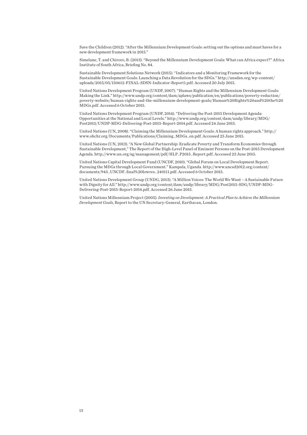Save the Children (2012). "After the Millennium Development Goals: setting out the options and must haves for a new development framework in 2015."

Simelane, T. and Chiroro, B. (2013). "Beyond the Millennium Development Goals: What can Africa expect?" Africa Institute of South Africa, Briefing No. 84.

Sustainable Development Solutions Network (2015). "Indicators and a Monitoring Framework for the Sustainable Development Goals: Launching a Data Revolution for the SDGs." http://unsdsn.org/wp-content/ uploads/2015/05/150612-FINAL-SDSN-Indicator-Report1.pdf. Accessed 20 July 2015.

United Nations Development Program (UNDP, 2007). "Human Rights and the Millennium Development Goals: Making the Link." http://www.undp.org/content/dam/aplaws/publication/en/publications/poverty-reduction/ poverty-website/human-rights-and-the-millennium-development-goals/Human%20Rights%20and%20the%20 MDGs.pdf. Accessed 6 October 2015.

United Nations Development Program (UNDP, 2014). "Delivering the Post-2015 Development Agenda: Opportunities at the National and Local Levels." http://www.undp.org/content/dam/undp/library/MDG/ Post2015/UNDP-MDG-Delivering-Post-2015-Report-2014.pdf. Accessed 24 June 2015.

United Nations (UN, 2008). "Claiming the Millennium Development Goals: A human rights approach." http:// www.ohchr.org/Documents/Publications/Claiming\_MDGs\_en.pdf. Accessed 25 June 2015.

United Nations (UN, 2013). "A New Global Partnership: Eradicate Poverty and Transform Economies through Sustainable Development," The Report of the High-Level Panel of Eminent Persons on the Post-2015 Development Agenda. http://www.un.org/sg/management/pdf/HLP\_P2015\_Report.pdf. Accessed 23 June 2015.

United Nations Capital Development Fund (UNCDF, 2010). "Global Forum on Local Development Report. Pursuing the MDGs through Local Government." Kampala, Uganda. http://www.uncsd2012.org/content/ documents/945\_UNCDF\_final%20lowres\_240111.pdf. Accessed 6 October 2015.

United Nations Development Group (UNDG, 2013). "A Million Voices: The World We Want – A Sustainable Future with Dignity for All." http://www.undp.org/content/dam/undp/library/MDG/Post2015-SDG/UNDP-MDG-Delivering-Post-2015-Report-2014.pdf. Accessed 26 June 2015.

United Nations Millennium Project (2005). *Investing on Development: A Practical Plan to Achieve the Millennium Development Goals*, Report to the UN Secretary-General, Earthscan, London.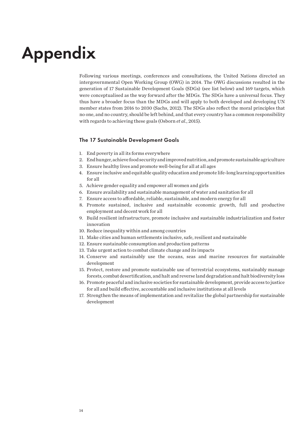## Appendix

Following various meetings, conferences and consultations, the United Nations directed an intergovernmental Open Working Group (OWG) in 2014. The OWG discussions resulted in the generation of 17 Sustainable Development Goals (SDGs) (see list below) and 169 targets, which were conceptualised as the way forward after the MDGs. The SDGs have a universal focus. They thus have a broader focus than the MDGs and will apply to both developed and developing UN member states from 2016 to 2030 (Sachs, 2012). The SDGs also reflect the moral principles that no one, and no country, should be left behind, and that every country has a common responsibility with regards to achieving these goals (Osborn *et al.*, 2015).

#### The 17 Sustainable Development Goals

- 1. End poverty in all its forms everywhere
- 2. End hunger, achieve food security and improved nutrition, and promote sustainable agriculture
- 3. Ensure healthy lives and promote well-being for all at all ages
- 4. Ensure inclusive and equitable quality education and promote life-long learning opportunities for all
- 5. Achieve gender equality and empower all women and girls
- 6. Ensure availability and sustainable management of water and sanitation for all
- 7. Ensure access to affordable, reliable, sustainable, and modern energy for all
- 8. Promote sustained, inclusive and sustainable economic growth, full and productive employment and decent work for all
- 9. Build resilient infrastructure, promote inclusive and sustainable industrialization and foster innovation
- 10. Reduce inequality within and among countries
- 11. Make cities and human settlements inclusive, safe, resilient and sustainable
- 12. Ensure sustainable consumption and production patterns
- 13. Take urgent action to combat climate change and its impacts
- 14. Conserve and sustainably use the oceans, seas and marine resources for sustainable development
- 15. Protect, restore and promote sustainable use of terrestrial ecosystems, sustainably manage forests, combat desertification, and halt and reverse land degradation and halt biodiversity loss
- 16. Promote peaceful and inclusive societies for sustainable development, provide access to justice for all and build effective, accountable and inclusive institutions at all levels
- 17. Strengthen the means of implementation and revitalize the global partnership for sustainable development